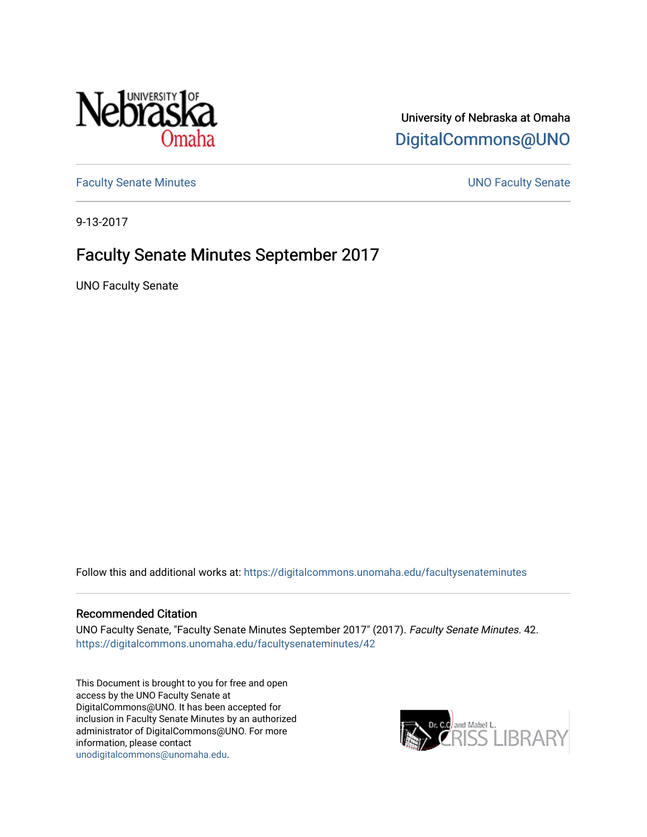

University of Nebraska at Omaha [DigitalCommons@UNO](https://digitalcommons.unomaha.edu/) 

[Faculty Senate Minutes](https://digitalcommons.unomaha.edu/facultysenateminutes) **Example 2018** UNO Faculty Senate

9-13-2017

# Faculty Senate Minutes September 2017

UNO Faculty Senate

Follow this and additional works at: [https://digitalcommons.unomaha.edu/facultysenateminutes](https://digitalcommons.unomaha.edu/facultysenateminutes?utm_source=digitalcommons.unomaha.edu%2Ffacultysenateminutes%2F42&utm_medium=PDF&utm_campaign=PDFCoverPages) 

#### Recommended Citation

UNO Faculty Senate, "Faculty Senate Minutes September 2017" (2017). Faculty Senate Minutes. 42. [https://digitalcommons.unomaha.edu/facultysenateminutes/42](https://digitalcommons.unomaha.edu/facultysenateminutes/42?utm_source=digitalcommons.unomaha.edu%2Ffacultysenateminutes%2F42&utm_medium=PDF&utm_campaign=PDFCoverPages) 

This Document is brought to you for free and open access by the UNO Faculty Senate at DigitalCommons@UNO. It has been accepted for inclusion in Faculty Senate Minutes by an authorized administrator of DigitalCommons@UNO. For more information, please contact [unodigitalcommons@unomaha.edu.](mailto:unodigitalcommons@unomaha.edu)

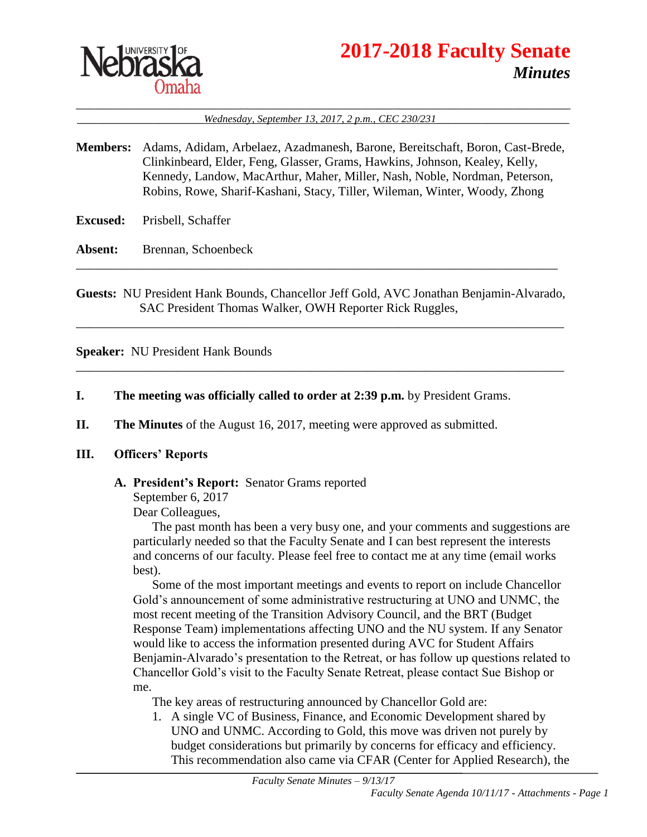

# **2017-2018 Faculty Senate** *Minutes*

\_\_\_\_\_\_\_\_\_\_\_\_\_\_\_\_\_\_\_\_\_\_\_\_\_\_\_\_\_\_\_\_\_\_\_\_\_\_\_\_\_\_\_\_\_\_\_\_\_\_\_\_\_\_\_\_\_\_\_\_\_\_\_\_\_\_\_\_\_\_\_\_\_\_\_\_\_\_ \_\_\_\_\_\_\_\_\_\_\_\_\_\_\_\_\_\_\_\_*Wednesday, September 13, 2017, 2 p.m., CEC 230/231*\_\_\_\_\_\_\_\_\_\_\_\_\_\_\_\_\_\_\_\_\_

- **Members:** Adams, Adidam, Arbelaez, Azadmanesh, Barone, Bereitschaft, Boron, Cast-Brede, Clinkinbeard, Elder, Feng, Glasser, Grams, Hawkins, Johnson, Kealey, Kelly, Kennedy, Landow, MacArthur, Maher, Miller, Nash, Noble, Nordman, Peterson, Robins, Rowe, Sharif-Kashani, Stacy, Tiller, Wileman, Winter, Woody, Zhong
- **Excused:** Prisbell, Schaffer

**Absent:** Brennan, Schoenbeck

**Guests:** NU President Hank Bounds, Chancellor Jeff Gold, AVC Jonathan Benjamin-Alvarado, SAC President Thomas Walker, OWH Reporter Rick Ruggles,

\_\_\_\_\_\_\_\_\_\_\_\_\_\_\_\_\_\_\_\_\_\_\_\_\_\_\_\_\_\_\_\_\_\_\_\_\_\_\_\_\_\_\_\_\_\_\_\_\_\_\_\_\_\_\_\_\_\_\_\_\_\_\_\_\_\_\_\_\_\_\_\_\_\_\_\_\_

\_\_\_\_\_\_\_\_\_\_\_\_\_\_\_\_\_\_\_\_\_\_\_\_\_\_\_\_\_\_\_\_\_\_\_\_\_\_\_\_\_\_\_\_\_\_\_\_\_\_\_\_\_\_\_\_\_\_\_\_\_\_\_\_\_\_\_\_\_\_\_\_\_\_\_\_\_

\_\_\_\_\_\_\_\_\_\_\_\_\_\_\_\_\_\_\_\_\_\_\_\_\_\_\_\_\_\_\_\_\_\_\_\_\_\_\_\_\_\_\_\_\_\_\_\_\_\_\_\_\_\_\_\_\_\_\_\_\_\_\_\_\_\_\_\_\_\_\_\_\_\_\_\_

**Speaker:** NU President Hank Bounds

- **I. The meeting was officially called to order at 2:39 p.m.** by President Grams.
- **II. The Minutes** of the August 16, 2017, meeting were approved as submitted.

#### **III. Officers' Reports**

#### **A. President's Report:** Senator Grams reported

September 6, 2017

Dear Colleagues,

The past month has been a very busy one, and your comments and suggestions are particularly needed so that the Faculty Senate and I can best represent the interests and concerns of our faculty. Please feel free to contact me at any time (email works best).

Some of the most important meetings and events to report on include Chancellor Gold's announcement of some administrative restructuring at UNO and UNMC, the most recent meeting of the Transition Advisory Council, and the BRT (Budget Response Team) implementations affecting UNO and the NU system. If any Senator would like to access the information presented during AVC for Student Affairs Benjamin-Alvarado's presentation to the Retreat, or has follow up questions related to Chancellor Gold's visit to the Faculty Senate Retreat, please contact Sue Bishop or me.

The key areas of restructuring announced by Chancellor Gold are:

1. A single VC of Business, Finance, and Economic Development shared by UNO and UNMC. According to Gold, this move was driven not purely by budget considerations but primarily by concerns for efficacy and efficiency. This recommendation also came via CFAR (Center for Applied Research), the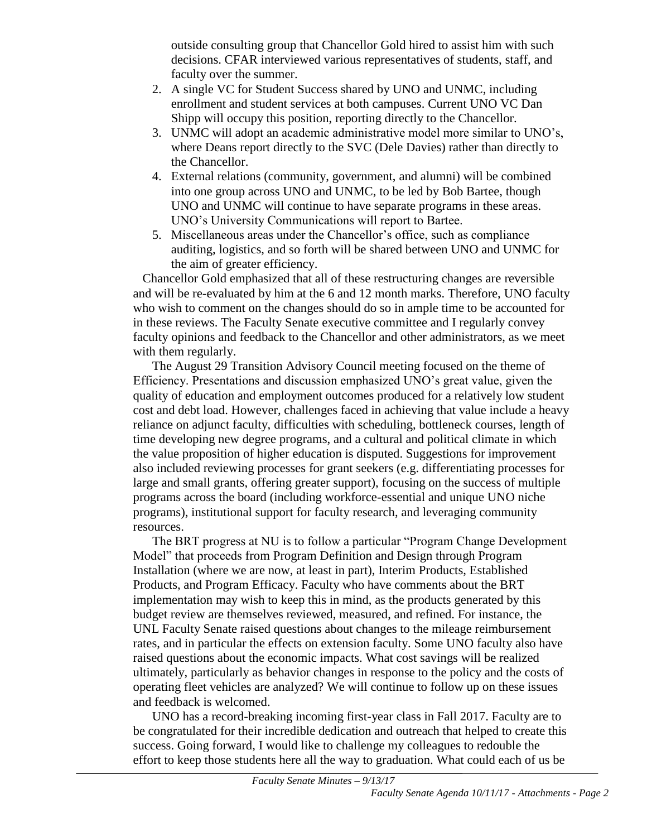outside consulting group that Chancellor Gold hired to assist him with such decisions. CFAR interviewed various representatives of students, staff, and faculty over the summer.

- 2. A single VC for Student Success shared by UNO and UNMC, including enrollment and student services at both campuses. Current UNO VC Dan Shipp will occupy this position, reporting directly to the Chancellor.
- 3. UNMC will adopt an academic administrative model more similar to UNO's, where Deans report directly to the SVC (Dele Davies) rather than directly to the Chancellor.
- 4. External relations (community, government, and alumni) will be combined into one group across UNO and UNMC, to be led by Bob Bartee, though UNO and UNMC will continue to have separate programs in these areas. UNO's University Communications will report to Bartee.
- 5. Miscellaneous areas under the Chancellor's office, such as compliance auditing, logistics, and so forth will be shared between UNO and UNMC for the aim of greater efficiency.

Chancellor Gold emphasized that all of these restructuring changes are reversible and will be re-evaluated by him at the 6 and 12 month marks. Therefore, UNO faculty who wish to comment on the changes should do so in ample time to be accounted for in these reviews. The Faculty Senate executive committee and I regularly convey faculty opinions and feedback to the Chancellor and other administrators, as we meet with them regularly.

The August 29 Transition Advisory Council meeting focused on the theme of Efficiency. Presentations and discussion emphasized UNO's great value, given the quality of education and employment outcomes produced for a relatively low student cost and debt load. However, challenges faced in achieving that value include a heavy reliance on adjunct faculty, difficulties with scheduling, bottleneck courses, length of time developing new degree programs, and a cultural and political climate in which the value proposition of higher education is disputed. Suggestions for improvement also included reviewing processes for grant seekers (e.g. differentiating processes for large and small grants, offering greater support), focusing on the success of multiple programs across the board (including workforce-essential and unique UNO niche programs), institutional support for faculty research, and leveraging community resources.

The BRT progress at NU is to follow a particular "Program Change Development Model" that proceeds from Program Definition and Design through Program Installation (where we are now, at least in part), Interim Products, Established Products, and Program Efficacy. Faculty who have comments about the BRT implementation may wish to keep this in mind, as the products generated by this budget review are themselves reviewed, measured, and refined. For instance, the UNL Faculty Senate raised questions about changes to the mileage reimbursement rates, and in particular the effects on extension faculty. Some UNO faculty also have raised questions about the economic impacts. What cost savings will be realized ultimately, particularly as behavior changes in response to the policy and the costs of operating fleet vehicles are analyzed? We will continue to follow up on these issues and feedback is welcomed.

UNO has a record-breaking incoming first-year class in Fall 2017. Faculty are to be congratulated for their incredible dedication and outreach that helped to create this success. Going forward, I would like to challenge my colleagues to redouble the effort to keep those students here all the way to graduation. What could each of us be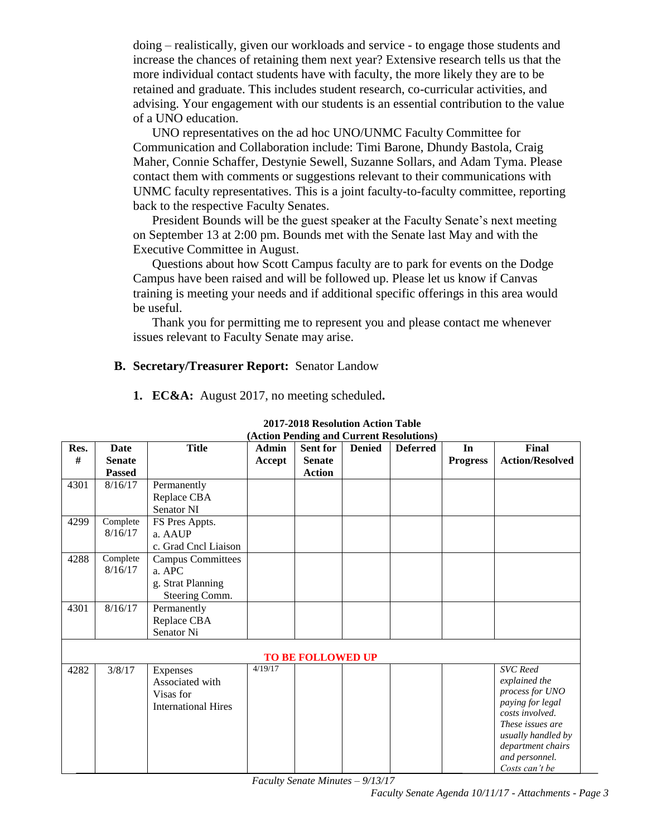doing – realistically, given our workloads and service - to engage those students and increase the chances of retaining them next year? Extensive research tells us that the more individual contact students have with faculty, the more likely they are to be retained and graduate. This includes student research, co-curricular activities, and advising. Your engagement with our students is an essential contribution to the value of a UNO education.

UNO representatives on the ad hoc UNO/UNMC Faculty Committee for Communication and Collaboration include: Timi Barone, Dhundy Bastola, Craig Maher, Connie Schaffer, Destynie Sewell, Suzanne Sollars, and Adam Tyma. Please contact them with comments or suggestions relevant to their communications with UNMC faculty representatives. This is a joint faculty-to-faculty committee, reporting back to the respective Faculty Senates.

President Bounds will be the guest speaker at the Faculty Senate's next meeting on September 13 at 2:00 pm. Bounds met with the Senate last May and with the Executive Committee in August.

Questions about how Scott Campus faculty are to park for events on the Dodge Campus have been raised and will be followed up. Please let us know if Canvas training is meeting your needs and if additional specific offerings in this area would be useful.

Thank you for permitting me to represent you and please contact me whenever issues relevant to Faculty Senate may arise.

#### **B. Secretary/Treasurer Report:** Senator Landow

|  | 1. EC&A: August 2017, no meeting scheduled. |  |
|--|---------------------------------------------|--|
|  |                                             |  |

| Res.                     | <b>Date</b>   | <b>Title</b>               | <b>Admin</b> | Sent for      | <b>Denied</b> | (Action Pending and Current Resolutions)<br><b>Deferred</b> | In              | Final                  |
|--------------------------|---------------|----------------------------|--------------|---------------|---------------|-------------------------------------------------------------|-----------------|------------------------|
| #                        | <b>Senate</b> |                            | Accept       | <b>Senate</b> |               |                                                             | <b>Progress</b> | <b>Action/Resolved</b> |
|                          | <b>Passed</b> |                            |              | <b>Action</b> |               |                                                             |                 |                        |
|                          |               |                            |              |               |               |                                                             |                 |                        |
| 4301                     | 8/16/17       | Permanently                |              |               |               |                                                             |                 |                        |
|                          |               | Replace CBA                |              |               |               |                                                             |                 |                        |
|                          |               | <b>Senator NI</b>          |              |               |               |                                                             |                 |                        |
| 4299                     | Complete      | FS Pres Appts.             |              |               |               |                                                             |                 |                        |
|                          | 8/16/17       | a. AAUP                    |              |               |               |                                                             |                 |                        |
|                          |               | c. Grad Cncl Liaison       |              |               |               |                                                             |                 |                        |
| 4288                     | Complete      | <b>Campus Committees</b>   |              |               |               |                                                             |                 |                        |
|                          | 8/16/17       | a. APC                     |              |               |               |                                                             |                 |                        |
|                          |               | g. Strat Planning          |              |               |               |                                                             |                 |                        |
|                          |               | Steering Comm.             |              |               |               |                                                             |                 |                        |
| 4301                     | 8/16/17       | Permanently                |              |               |               |                                                             |                 |                        |
|                          |               | Replace CBA                |              |               |               |                                                             |                 |                        |
|                          |               | Senator Ni                 |              |               |               |                                                             |                 |                        |
|                          |               |                            |              |               |               |                                                             |                 |                        |
| <b>TO BE FOLLOWED UP</b> |               |                            |              |               |               |                                                             |                 |                        |
| 4282                     | 3/8/17        | Expenses                   | 4/19/17      |               |               |                                                             |                 | <b>SVC</b> Reed        |
|                          |               | Associated with            |              |               |               |                                                             |                 | explained the          |
|                          |               | Visas for                  |              |               |               |                                                             |                 | process for UNO        |
|                          |               | <b>International Hires</b> |              |               |               |                                                             |                 | paying for legal       |
|                          |               |                            |              |               |               |                                                             |                 | costs involved.        |
|                          |               |                            |              |               |               |                                                             |                 | These issues are       |
|                          |               |                            |              |               |               |                                                             |                 | usually handled by     |
|                          |               |                            |              |               |               |                                                             |                 | department chairs      |
|                          |               |                            |              |               |               |                                                             |                 | and personnel.         |
|                          |               |                            |              |               |               |                                                             |                 | Costs can't be         |

#### **2017-2018 Resolution Action Table (Action Pending and Current Resolutions)**

*Faculty Senate Minutes – 9/13/17*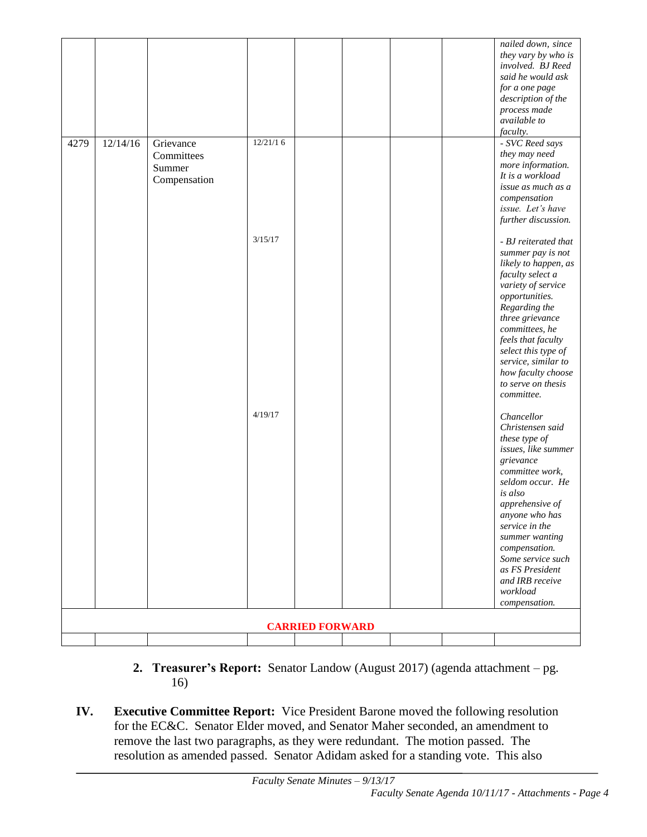|                        |          |              |          |  |  |  | nailed down, since<br>they vary by who is  |
|------------------------|----------|--------------|----------|--|--|--|--------------------------------------------|
|                        |          |              |          |  |  |  | involved. BJ Reed<br>said he would ask     |
|                        |          |              |          |  |  |  | for a one page                             |
|                        |          |              |          |  |  |  | description of the                         |
|                        |          |              |          |  |  |  | process made                               |
|                        |          |              |          |  |  |  | available to                               |
| 4279                   | 12/14/16 | Grievance    | 12/21/16 |  |  |  | faculty.<br>- SVC Reed says                |
|                        |          | Committees   |          |  |  |  | they may need                              |
|                        |          | Summer       |          |  |  |  | more information.                          |
|                        |          | Compensation |          |  |  |  | It is a workload                           |
|                        |          |              |          |  |  |  | issue as much as a<br>compensation         |
|                        |          |              |          |  |  |  | issue. Let's have                          |
|                        |          |              |          |  |  |  | further discussion.                        |
|                        |          |              | 3/15/17  |  |  |  | - BJ reiterated that                       |
|                        |          |              |          |  |  |  | summer pay is not                          |
|                        |          |              |          |  |  |  | likely to happen, as                       |
|                        |          |              |          |  |  |  | faculty select a                           |
|                        |          |              |          |  |  |  | variety of service                         |
|                        |          |              |          |  |  |  | opportunities.<br>Regarding the            |
|                        |          |              |          |  |  |  | three grievance                            |
|                        |          |              |          |  |  |  | committees, he                             |
|                        |          |              |          |  |  |  | feels that faculty                         |
|                        |          |              |          |  |  |  | select this type of<br>service, similar to |
|                        |          |              |          |  |  |  | how faculty choose                         |
|                        |          |              |          |  |  |  | to serve on thesis                         |
|                        |          |              |          |  |  |  | committee.                                 |
|                        |          |              | 4/19/17  |  |  |  | Chancellor                                 |
|                        |          |              |          |  |  |  | Christensen said                           |
|                        |          |              |          |  |  |  | these type of                              |
|                        |          |              |          |  |  |  | issues, like summer                        |
|                        |          |              |          |  |  |  | grievance<br>committee work,               |
|                        |          |              |          |  |  |  | seldom occur. He                           |
|                        |          |              |          |  |  |  | is also                                    |
|                        |          |              |          |  |  |  | apprehensive of                            |
|                        |          |              |          |  |  |  | anyone who has<br>service in the           |
|                        |          |              |          |  |  |  | summer wanting                             |
|                        |          |              |          |  |  |  | compensation.                              |
|                        |          |              |          |  |  |  | Some service such<br>as FS President       |
|                        |          |              |          |  |  |  | and IRB receive                            |
|                        |          |              |          |  |  |  | workload                                   |
|                        |          |              |          |  |  |  | compensation.                              |
|                        |          |              |          |  |  |  |                                            |
| <b>CARRIED FORWARD</b> |          |              |          |  |  |  |                                            |
|                        |          |              |          |  |  |  |                                            |

- **2. Treasurer's Report:** Senator Landow (August 2017) (agenda attachment pg. 16)
- **IV. Executive Committee Report:** Vice President Barone moved the following resolution for the EC&C. Senator Elder moved, and Senator Maher seconded, an amendment to remove the last two paragraphs, as they were redundant. The motion passed. The resolution as amended passed. Senator Adidam asked for a standing vote. This also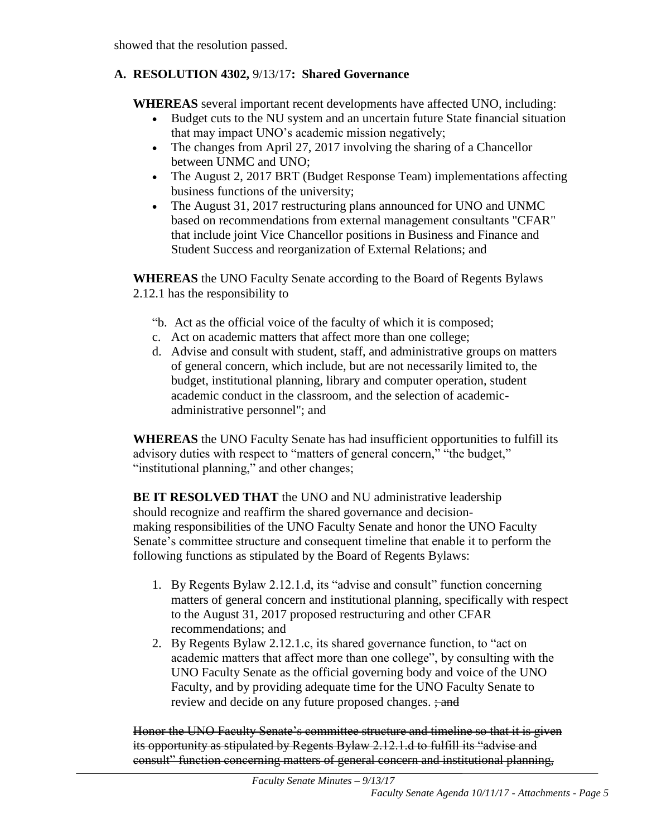showed that the resolution passed.

# **A. RESOLUTION 4302,** 9/13/17**: Shared Governance**

**WHEREAS** several important recent developments have affected UNO, including:

- Budget cuts to the NU system and an uncertain future State financial situation that may impact UNO's academic mission negatively;
- The changes from April 27, 2017 involving the sharing of a Chancellor between UNMC and UNO;
- The August 2, 2017 BRT (Budget Response Team) implementations affecting business functions of the university;
- The August 31, 2017 restructuring plans announced for UNO and UNMC based on recommendations from external management consultants "CFAR" that include joint Vice Chancellor positions in Business and Finance and Student Success and reorganization of External Relations; and

**WHEREAS** the UNO Faculty Senate according to the Board of Regents Bylaws 2.12.1 has the responsibility to

- "b. Act as the official voice of the faculty of which it is composed;
- c. Act on academic matters that affect more than one college;
- d. Advise and consult with student, staff, and administrative groups on matters of general concern, which include, but are not necessarily limited to, the budget, institutional planning, library and computer operation, student academic conduct in the classroom, and the selection of academicadministrative personnel"; and

**WHEREAS** the UNO Faculty Senate has had insufficient opportunities to fulfill its advisory duties with respect to "matters of general concern," "the budget," "institutional planning," and other changes;

**BE IT RESOLVED THAT** the UNO and NU administrative leadership should recognize and reaffirm the shared governance and decisionmaking responsibilities of the UNO Faculty Senate and honor the UNO Faculty Senate's committee structure and consequent timeline that enable it to perform the following functions as stipulated by the Board of Regents Bylaws:

- 1. By Regents Bylaw 2.12.1.d, its "advise and consult" function concerning matters of general concern and institutional planning, specifically with respect to the August 31, 2017 proposed restructuring and other CFAR recommendations; and
- 2. By Regents Bylaw 2.12.1.c, its shared governance function, to "act on academic matters that affect more than one college", by consulting with the UNO Faculty Senate as the official governing body and voice of the UNO Faculty, and by providing adequate time for the UNO Faculty Senate to review and decide on any future proposed changes.  $\frac{1}{2}$  and

Honor the UNO Faculty Senate's committee structure and timeline so that it is given its opportunity as stipulated by Regents Bylaw 2.12.1.d to fulfill its "advise and consult" function concerning matters of general concern and institutional planning,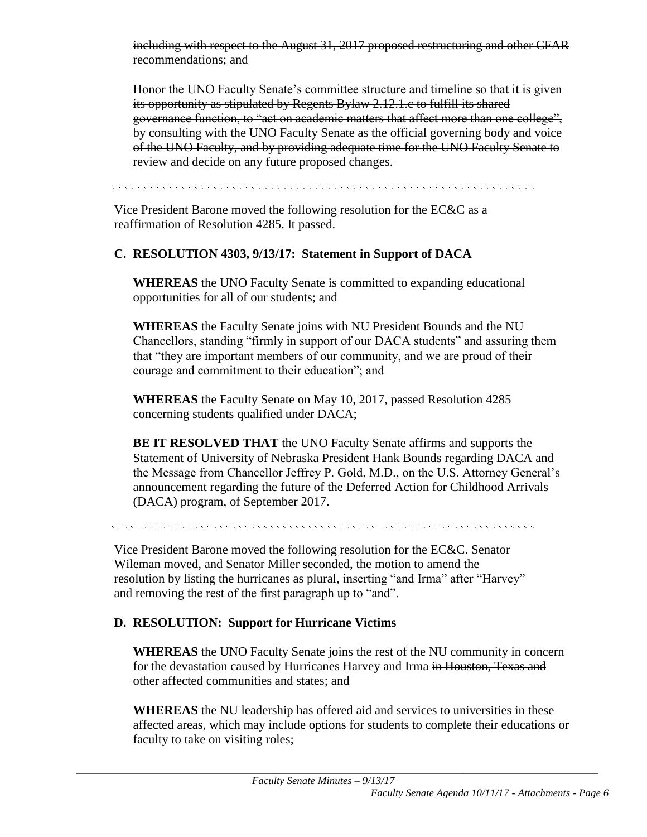including with respect to the August 31, 2017 proposed restructuring and other CFAR recommendations; and

Honor the UNO Faculty Senate's committee structure and timeline so that it is given its opportunity as stipulated by Regents Bylaw 2.12.1.c to fulfill its shared governance function, to "act on academic matters that affect more than one college", by consulting with the UNO Faculty Senate as the official governing body and voice of the UNO Faculty, and by providing adequate time for the UNO Faculty Senate to review and decide on any future proposed changes.

ti timin timin timin timin timin timin timin timin timin timin timin timin timin timin timin timin timin timi

Vice President Barone moved the following resolution for the EC&C as a reaffirmation of Resolution 4285. It passed.

# **C. RESOLUTION 4303, 9/13/17: Statement in Support of DACA**

**WHEREAS** the UNO Faculty Senate is committed to expanding educational opportunities for all of our students; and

**WHEREAS** the Faculty Senate joins with NU President Bounds and the NU Chancellors, standing "firmly in support of our DACA students" and assuring them that "they are important members of our community, and we are proud of their courage and commitment to their education"; and

**WHEREAS** the Faculty Senate on May 10, 2017, passed Resolution 4285 concerning students qualified under DACA;

**BE IT RESOLVED THAT** the UNO Faculty Senate affirms and supports the Statement of University of Nebraska President Hank Bounds regarding DACA and the Message from Chancellor Jeffrey P. Gold, M.D., on the U.S. Attorney General's announcement regarding the future of the Deferred Action for Childhood Arrivals (DACA) program, of September 2017.

Vice President Barone moved the following resolution for the EC&C. Senator Wileman moved, and Senator Miller seconded, the motion to amend the resolution by listing the hurricanes as plural, inserting "and Irma" after "Harvey" and removing the rest of the first paragraph up to "and".

# **D. RESOLUTION: Support for Hurricane Victims**

**WHEREAS** the UNO Faculty Senate joins the rest of the NU community in concern for the devastation caused by Hurricanes Harvey and Irma in Houston, Texas and other affected communities and states; and

**WHEREAS** the NU leadership has offered aid and services to universities in these affected areas, which may include options for students to complete their educations or faculty to take on visiting roles;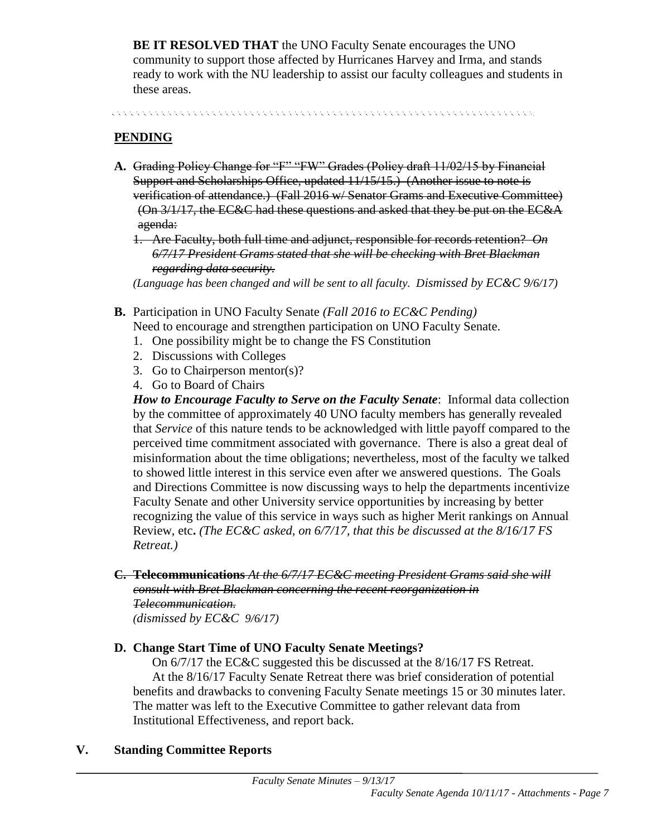**BE IT RESOLVED THAT** the UNO Faculty Senate encourages the UNO community to support those affected by Hurricanes Harvey and Irma, and stands ready to work with the NU leadership to assist our faculty colleagues and students in these areas.

. A concert a concert and a concert and a concert and a concert and a concert and a concert and a concert and

# **PENDING**

- **A.** Grading Policy Change for "F" "FW" Grades (Policy draft 11/02/15 by Financial Support and Scholarships Office, updated 11/15/15.) (Another issue to note is verification of attendance.) (Fall 2016 w/ Senator Grams and Executive Committee) (On 3/1/17, the EC&C had these questions and asked that they be put on the EC&A agenda:
	- 1. Are Faculty, both full time and adjunct, responsible for records retention? *On 6/7/17 President Grams stated that she will be checking with Bret Blackman regarding data security.*

*(Language has been changed and will be sent to all faculty. Dismissed by EC&C 9/6/17)*

- **B.** Participation in UNO Faculty Senate *(Fall 2016 to EC&C Pending)* Need to encourage and strengthen participation on UNO Faculty Senate.
	- 1. One possibility might be to change the FS Constitution
	- 2. Discussions with Colleges
	- 3. Go to Chairperson mentor(s)?
	- 4. Go to Board of Chairs

*How to Encourage Faculty to Serve on the Faculty Senate*: Informal data collection by the committee of approximately 40 UNO faculty members has generally revealed that *Service* of this nature tends to be acknowledged with little payoff compared to the perceived time commitment associated with governance. There is also a great deal of misinformation about the time obligations; nevertheless, most of the faculty we talked to showed little interest in this service even after we answered questions. The Goals and Directions Committee is now discussing ways to help the departments incentivize Faculty Senate and other University service opportunities by increasing by better recognizing the value of this service in ways such as higher Merit rankings on Annual Review, etc**.** *(The EC&C asked, on 6/7/17, that this be discussed at the 8/16/17 FS Retreat.)*

**C. Telecommunications** *At the 6/7/17 EC&C meeting President Grams said she will consult with Bret Blackman concerning the recent reorganization in Telecommunication. (dismissed by EC&C 9/6/17)*

#### **D. Change Start Time of UNO Faculty Senate Meetings?**

On 6/7/17 the EC&C suggested this be discussed at the 8/16/17 FS Retreat. At the 8/16/17 Faculty Senate Retreat there was brief consideration of potential benefits and drawbacks to convening Faculty Senate meetings 15 or 30 minutes later. The matter was left to the Executive Committee to gather relevant data from Institutional Effectiveness, and report back.

#### **V. Standing Committee Reports**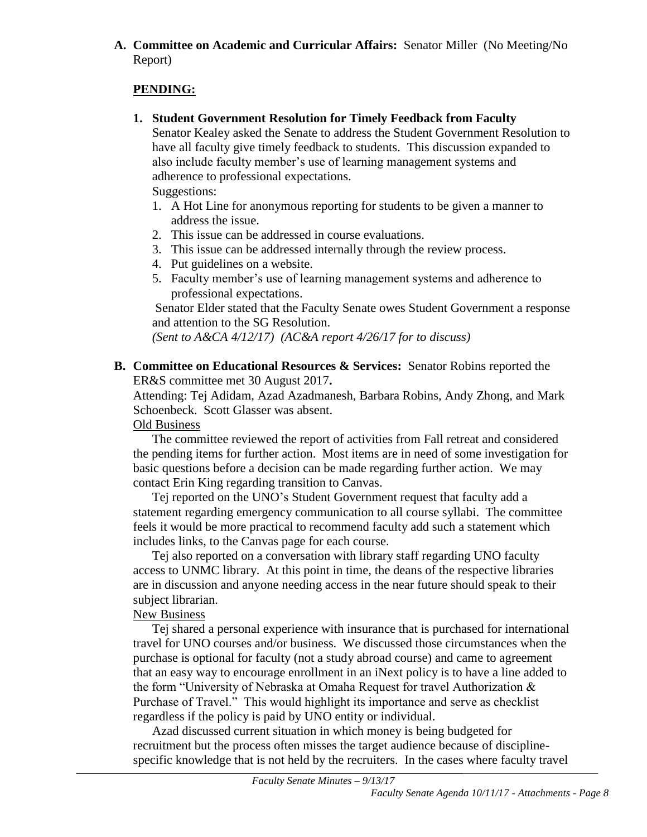# **A. Committee on Academic and Curricular Affairs:** Senator Miller (No Meeting/No Report)

# **PENDING:**

**1. Student Government Resolution for Timely Feedback from Faculty**

Senator Kealey asked the Senate to address the Student Government Resolution to have all faculty give timely feedback to students. This discussion expanded to also include faculty member's use of learning management systems and adherence to professional expectations. Suggestions:

1. A Hot Line for anonymous reporting for students to be given a manner to address the issue.

- 2. This issue can be addressed in course evaluations.
- 3. This issue can be addressed internally through the review process.
- 4. Put guidelines on a website.
- 5. Faculty member's use of learning management systems and adherence to professional expectations.

Senator Elder stated that the Faculty Senate owes Student Government a response and attention to the SG Resolution.

*(Sent to A&CA 4/12/17) (AC&A report 4/26/17 for to discuss)*

**B. Committee on Educational Resources & Services:** Senator Robins reported the ER&S committee met 30 August 2017**.** 

Attending: Tej Adidam, Azad Azadmanesh, Barbara Robins, Andy Zhong, and Mark Schoenbeck. Scott Glasser was absent.

# Old Business

The committee reviewed the report of activities from Fall retreat and considered the pending items for further action. Most items are in need of some investigation for basic questions before a decision can be made regarding further action. We may contact Erin King regarding transition to Canvas.

Tej reported on the UNO's Student Government request that faculty add a statement regarding emergency communication to all course syllabi. The committee feels it would be more practical to recommend faculty add such a statement which includes links, to the Canvas page for each course.

Tej also reported on a conversation with library staff regarding UNO faculty access to UNMC library. At this point in time, the deans of the respective libraries are in discussion and anyone needing access in the near future should speak to their subject librarian.

# New Business

Tej shared a personal experience with insurance that is purchased for international travel for UNO courses and/or business. We discussed those circumstances when the purchase is optional for faculty (not a study abroad course) and came to agreement that an easy way to encourage enrollment in an iNext policy is to have a line added to the form "University of Nebraska at Omaha Request for travel Authorization & Purchase of Travel." This would highlight its importance and serve as checklist regardless if the policy is paid by UNO entity or individual.

Azad discussed current situation in which money is being budgeted for recruitment but the process often misses the target audience because of disciplinespecific knowledge that is not held by the recruiters. In the cases where faculty travel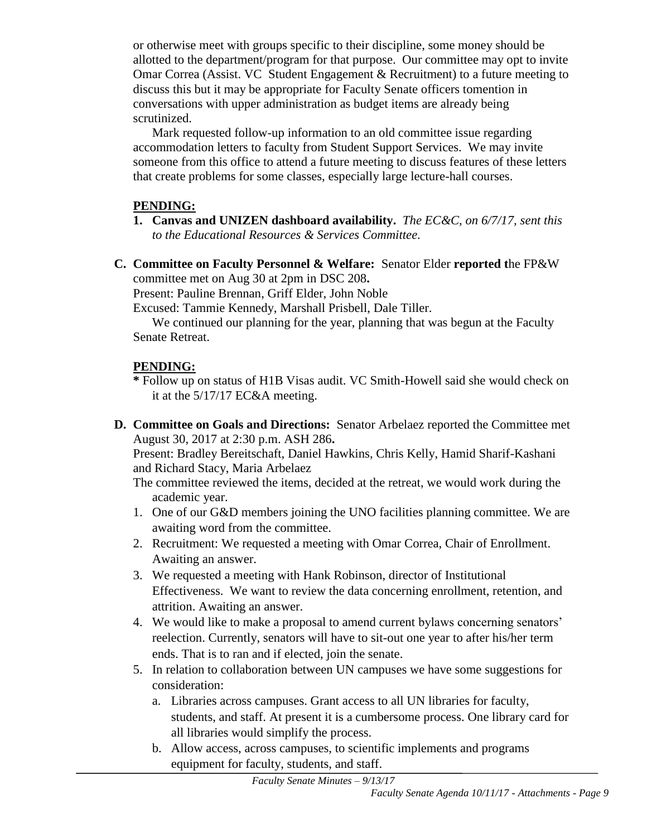or otherwise meet with groups specific to their discipline, some money should be allotted to the department/program for that purpose. Our committee may opt to invite Omar Correa (Assist. VC Student Engagement  $\&$  Recruitment) to a future meeting to discuss this but it may be appropriate for Faculty Senate officers tomention in conversations with upper administration as budget items are already being scrutinized.

Mark requested follow-up information to an old committee issue regarding accommodation letters to faculty from Student Support Services. We may invite someone from this office to attend a future meeting to discuss features of these letters that create problems for some classes, especially large lecture-hall courses.

### **PENDING:**

- **1. Canvas and UNIZEN dashboard availability.** *The EC&C, on 6/7/17, sent this to the Educational Resources & Services Committee.*
- **C. Committee on Faculty Personnel & Welfare:** Senator Elder **reported t**he FP&W committee met on Aug 30 at 2pm in DSC 208**.**

Present: Pauline Brennan, Griff Elder, John Noble

Excused: Tammie Kennedy, Marshall Prisbell, Dale Tiller.

We continued our planning for the year, planning that was begun at the Faculty Senate Retreat.

# **PENDING:**

- **\*** Follow up on status of H1B Visas audit. VC Smith-Howell said she would check on it at the 5/17/17 EC&A meeting.
- **D. Committee on Goals and Directions:** Senator Arbelaez reported the Committee met August 30, 2017 at 2:30 p.m. ASH 286**.**

Present: Bradley Bereitschaft, Daniel Hawkins, Chris Kelly, Hamid Sharif-Kashani and Richard Stacy, Maria Arbelaez

- The committee reviewed the items, decided at the retreat, we would work during the academic year.
- 1. One of our G&D members joining the UNO facilities planning committee. We are awaiting word from the committee.
- 2. Recruitment: We requested a meeting with Omar Correa, Chair of Enrollment. Awaiting an answer.
- 3. We requested a meeting with Hank Robinson, director of Institutional Effectiveness. We want to review the data concerning enrollment, retention, and attrition. Awaiting an answer.
- 4. We would like to make a proposal to amend current bylaws concerning senators' reelection. Currently, senators will have to sit-out one year to after his/her term ends. That is to ran and if elected, join the senate.
- 5. In relation to collaboration between UN campuses we have some suggestions for consideration:
	- a. Libraries across campuses. Grant access to all UN libraries for faculty, students, and staff. At present it is a cumbersome process. One library card for all libraries would simplify the process.
	- b. Allow access, across campuses, to scientific implements and programs equipment for faculty, students, and staff.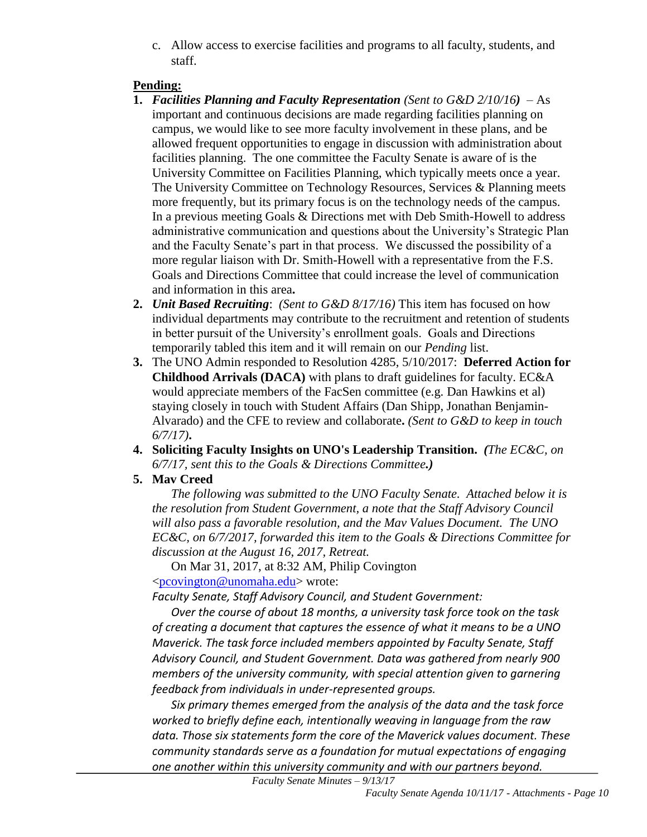c. Allow access to exercise facilities and programs to all faculty, students, and staff.

# **Pending:**

- **1.** *Facilities Planning and Faculty Representation (Sent to G&D 2/10/16)* As important and continuous decisions are made regarding facilities planning on campus, we would like to see more faculty involvement in these plans, and be allowed frequent opportunities to engage in discussion with administration about facilities planning. The one committee the Faculty Senate is aware of is the University Committee on Facilities Planning, which typically meets once a year. The University Committee on Technology Resources, Services & Planning meets more frequently, but its primary focus is on the technology needs of the campus. In a previous meeting Goals & Directions met with Deb Smith-Howell to address administrative communication and questions about the University's Strategic Plan and the Faculty Senate's part in that process. We discussed the possibility of a more regular liaison with Dr. Smith-Howell with a representative from the F.S. Goals and Directions Committee that could increase the level of communication and information in this area**.**
- **2.** *Unit Based Recruiting*: *(Sent to G&D 8/17/16)* This item has focused on how individual departments may contribute to the recruitment and retention of students in better pursuit of the University's enrollment goals. Goals and Directions temporarily tabled this item and it will remain on our *Pending* list.
- **3.** The UNO Admin responded to Resolution 4285, 5/10/2017: **Deferred Action for Childhood Arrivals (DACA)** with plans to draft guidelines for faculty. EC&A would appreciate members of the FacSen committee (e.g. Dan Hawkins et al) staying closely in touch with Student Affairs (Dan Shipp, Jonathan Benjamin-Alvarado) and the CFE to review and collaborate**.** *(Sent to G&D to keep in touch 6/7/17)***.**
- **4. Soliciting Faculty Insights on UNO's Leadership Transition.** *(The EC&C, on 6/7/17, sent this to the Goals & Directions Committee.)*
- **5. Mav Creed**

*The following was submitted to the UNO Faculty Senate. Attached below it is the resolution from Student Government, a note that the Staff Advisory Council will also pass a favorable resolution, and the Mav Values Document. The UNO EC&C, on 6/7/2017, forwarded this item to the Goals & Directions Committee for discussion at the August 16, 2017, Retreat.*

On Mar 31, 2017, at 8:32 AM, Philip Covington [<pcovington@unomaha.edu>](mailto:pcovington@unomaha.edu) wrote:

*Faculty Senate, Staff Advisory Council, and Student Government:*

*Over the course of about 18 months, a university task force took on the task of creating a document that captures the essence of what it means to be a UNO Maverick. The task force included members appointed by Faculty Senate, Staff Advisory Council, and Student Government. Data was gathered from nearly 900 members of the university community, with special attention given to garnering feedback from individuals in under-represented groups.*

*Six primary themes emerged from the analysis of the data and the task force worked to briefly define each, intentionally weaving in language from the raw data. Those six statements form the core of the Maverick values document. These community standards serve as a foundation for mutual expectations of engaging one another within this university community and with our partners beyond.*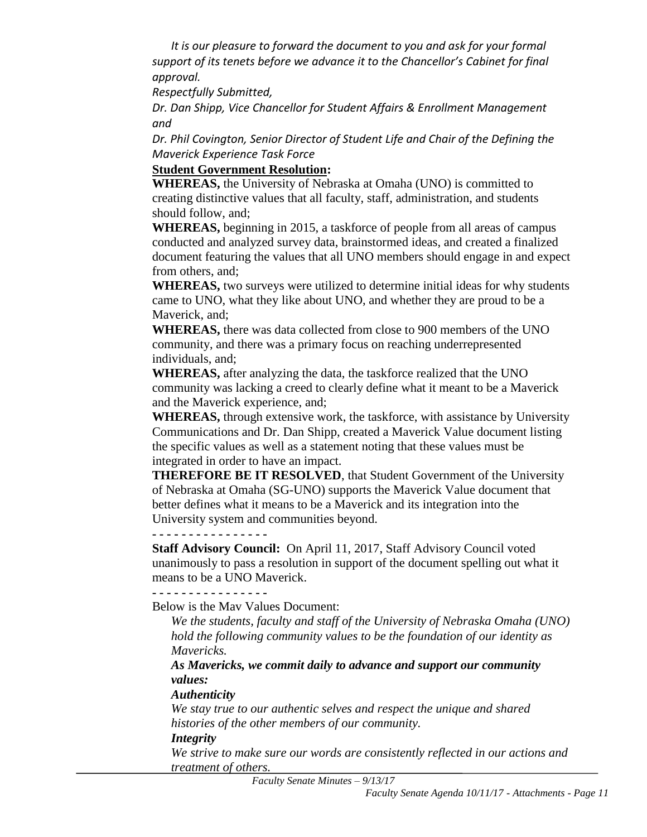*It is our pleasure to forward the document to you and ask for your formal support of its tenets before we advance it to the Chancellor's Cabinet for final approval.*

*Respectfully Submitted,*

*Dr. Dan Shipp, Vice Chancellor for Student Affairs & Enrollment Management and*

*Dr. Phil Covington, Senior Director of Student Life and Chair of the Defining the Maverick Experience Task Force*

#### **Student Government Resolution:**

**WHEREAS,** the University of Nebraska at Omaha (UNO) is committed to creating distinctive values that all faculty, staff, administration, and students should follow, and;

**WHEREAS,** beginning in 2015, a taskforce of people from all areas of campus conducted and analyzed survey data, brainstormed ideas, and created a finalized document featuring the values that all UNO members should engage in and expect from others, and;

**WHEREAS,** two surveys were utilized to determine initial ideas for why students came to UNO, what they like about UNO, and whether they are proud to be a Maverick, and;

**WHEREAS,** there was data collected from close to 900 members of the UNO community, and there was a primary focus on reaching underrepresented individuals, and;

**WHEREAS,** after analyzing the data, the taskforce realized that the UNO community was lacking a creed to clearly define what it meant to be a Maverick and the Maverick experience, and;

**WHEREAS,** through extensive work, the taskforce, with assistance by University Communications and Dr. Dan Shipp, created a Maverick Value document listing the specific values as well as a statement noting that these values must be integrated in order to have an impact.

**THEREFORE BE IT RESOLVED**, that Student Government of the University of Nebraska at Omaha (SG-UNO) supports the Maverick Value document that better defines what it means to be a Maverick and its integration into the University system and communities beyond.

**- - - - - - - - - - - - - - - -**

**Staff Advisory Council:** On April 11, 2017, Staff Advisory Council voted unanimously to pass a resolution in support of the document spelling out what it means to be a UNO Maverick.

# **- - - - - - - - - - - - - - - -**

Below is the Mav Values Document:

*We the students, faculty and staff of the University of Nebraska Omaha (UNO) hold the following community values to be the foundation of our identity as Mavericks.*

*As Mavericks, we commit daily to advance and support our community values:*

#### *Authenticity*

*We stay true to our authentic selves and respect the unique and shared histories of the other members of our community.*

#### *Integrity*

*We strive to make sure our words are consistently reflected in our actions and treatment of others.*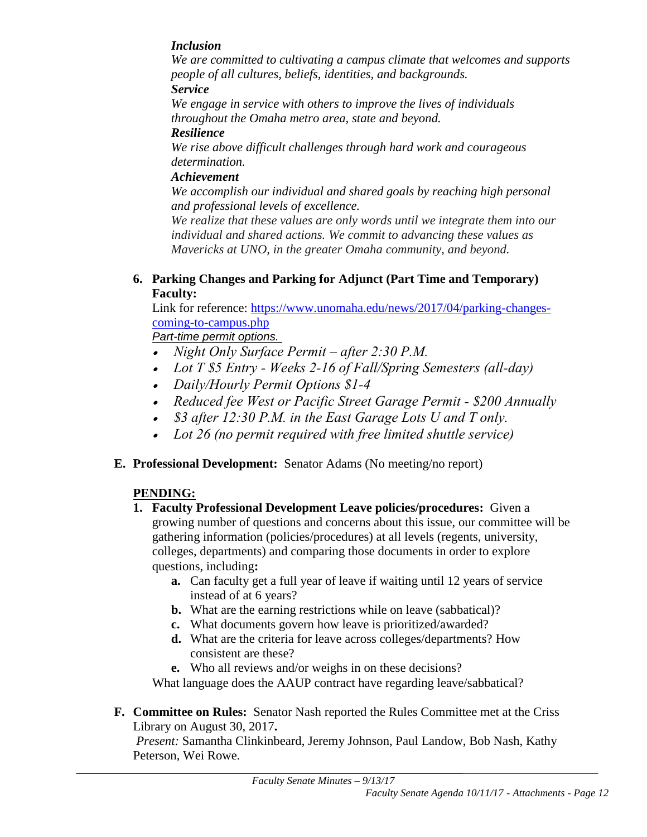# *Inclusion*

*We are committed to cultivating a campus climate that welcomes and supports people of all cultures, beliefs, identities, and backgrounds. Service*

*We engage in service with others to improve the lives of individuals throughout the Omaha metro area, state and beyond.* 

#### *Resilience*

*We rise above difficult challenges through hard work and courageous determination.* 

# *Achievement*

*We accomplish our individual and shared goals by reaching high personal and professional levels of excellence.*

*We realize that these values are only words until we integrate them into our individual and shared actions. We commit to advancing these values as Mavericks at UNO, in the greater Omaha community, and beyond.*

**6. Parking Changes and Parking for Adjunct (Part Time and Temporary) Faculty:**

Link for reference: [https://www.unomaha.edu/news/2017/04/parking-changes](https://www.unomaha.edu/news/2017/04/parking-changes-coming-to-campus.php)[coming-to-campus.php](https://www.unomaha.edu/news/2017/04/parking-changes-coming-to-campus.php)

*Part-time permit options.*

- *Night Only Surface Permit – after 2:30 P.M.*
- *Lot T \$5 Entry - Weeks 2-16 of Fall/Spring Semesters (all-day)*
- *Daily/Hourly Permit Options \$1-4*
- *Reduced fee West or Pacific Street Garage Permit - \$200 Annually*
- *\$3 after 12:30 P.M. in the East Garage Lots U and T only.*
- *Lot 26 (no permit required with free limited shuttle service)*
- **E. Professional Development:** Senator Adams (No meeting/no report)

# **PENDING:**

- **1. Faculty Professional Development Leave policies/procedures:** Given a growing number of questions and concerns about this issue, our committee will be gathering information (policies/procedures) at all levels (regents, university, colleges, departments) and comparing those documents in order to explore questions, including**:** 
	- **a.** Can faculty get a full year of leave if waiting until 12 years of service instead of at 6 years?
	- **b.** What are the earning restrictions while on leave (sabbatical)?
	- **c.** What documents govern how leave is prioritized/awarded?
	- **d.** What are the criteria for leave across colleges/departments? How consistent are these?
	- **e.** Who all reviews and/or weighs in on these decisions?

What language does the AAUP contract have regarding leave/sabbatical?

**F. Committee on Rules:** Senator Nash reported the Rules Committee met at the Criss Library on August 30, 2017**.**

*Present:* Samantha Clinkinbeard, Jeremy Johnson, Paul Landow, Bob Nash, Kathy Peterson, Wei Rowe.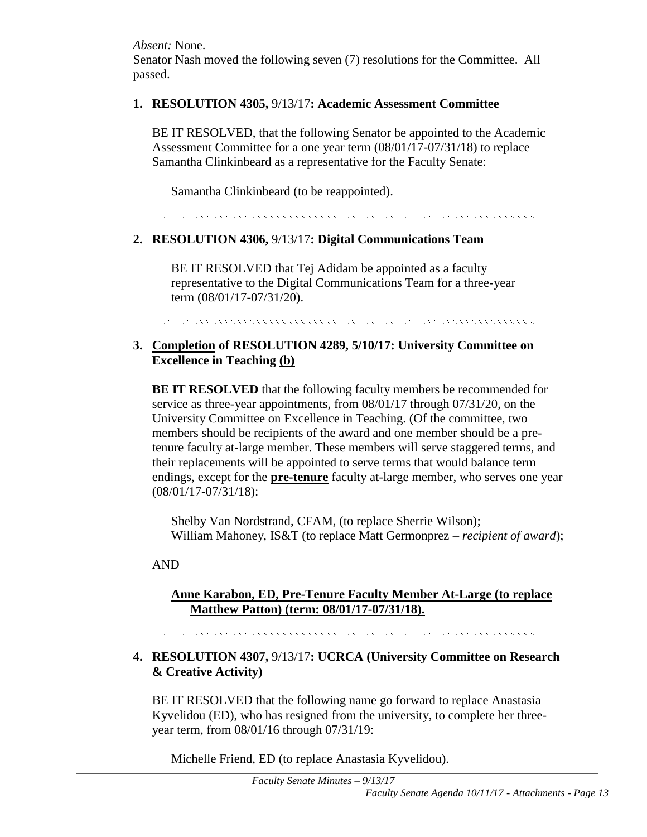*Absent:* None. Senator Nash moved the following seven (7) resolutions for the Committee. All passed.

#### **1. RESOLUTION 4305,** 9/13/17**: Academic Assessment Committee**

BE IT RESOLVED, that the following Senator be appointed to the Academic Assessment Committee for a one year term (08/01/17-07/31/18) to replace Samantha Clinkinbeard as a representative for the Faculty Senate:

Samantha Clinkinbeard (to be reappointed).

a de la caractería de la caractería de la caractería de la caractería de la caractería de la caractería de la

## **2. RESOLUTION 4306,** 9/13/17**: Digital Communications Team**

BE IT RESOLVED that Tej Adidam be appointed as a faculty representative to the Digital Communications Team for a three-year term (08/01/17-07/31/20).

in a la calculation de la calculation de la calculation de la calculation de la calculation de la calculation

## **3. Completion of RESOLUTION 4289, 5/10/17: University Committee on Excellence in Teaching (b)**

**BE IT RESOLVED** that the following faculty members be recommended for service as three-year appointments, from 08/01/17 through 07/31/20, on the University Committee on Excellence in Teaching. (Of the committee, two members should be recipients of the award and one member should be a pretenure faculty at-large member. These members will serve staggered terms, and their replacements will be appointed to serve terms that would balance term endings, except for the **pre-tenure** faculty at-large member, who serves one year (08/01/17-07/31/18):

Shelby Van Nordstrand, CFAM, (to replace Sherrie Wilson); William Mahoney, IS&T (to replace Matt Germonprez – *recipient of award*);

#### AND

## **Anne Karabon, ED, Pre-Tenure Faculty Member At-Large (to replace Matthew Patton) (term: 08/01/17-07/31/18).**

, a concert a concert and a concert and a concert and a concert and a concert and a concert and a concert

## **4. RESOLUTION 4307,** 9/13/17**: UCRCA (University Committee on Research & Creative Activity)**

BE IT RESOLVED that the following name go forward to replace Anastasia Kyvelidou (ED), who has resigned from the university, to complete her threeyear term, from 08/01/16 through 07/31/19:

Michelle Friend, ED (to replace Anastasia Kyvelidou).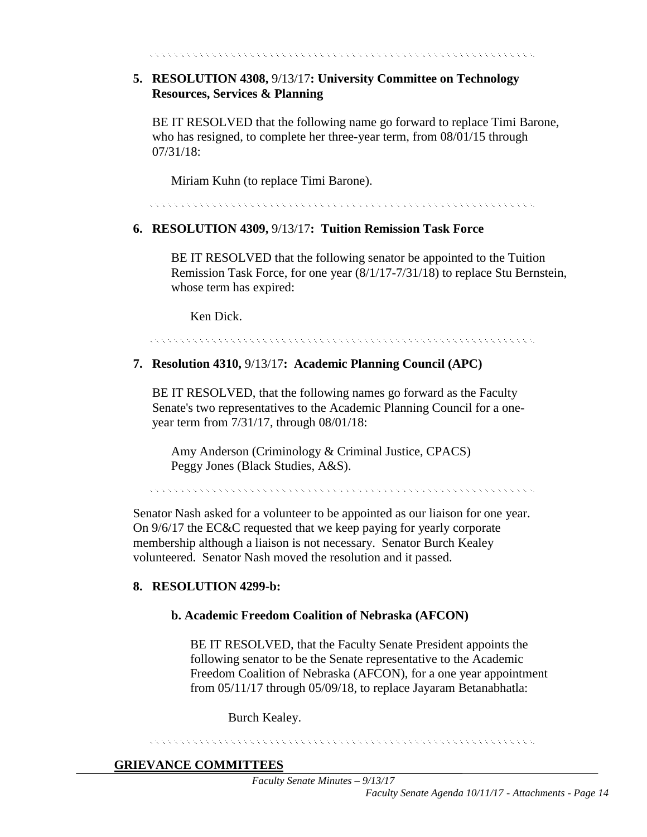# **5. RESOLUTION 4308,** 9/13/17**: University Committee on Technology Resources, Services & Planning**

BE IT RESOLVED that the following name go forward to replace Timi Barone, who has resigned, to complete her three-year term, from 08/01/15 through 07/31/18:

Miriam Kuhn (to replace Timi Barone).

\*\*\*\*\*\*\*\*\*\*\*\*\*\*\*\*\*\*\*\*\*\*\*\*\*\*\*\*\*

# **6. RESOLUTION 4309,** 9/13/17**: Tuition Remission Task Force**

BE IT RESOLVED that the following senator be appointed to the Tuition Remission Task Force, for one year (8/1/17-7/31/18) to replace Stu Bernstein, whose term has expired:

Ken Dick.

#### 

# **7. Resolution 4310,** 9/13/17**: Academic Planning Council (APC)**

BE IT RESOLVED, that the following names go forward as the Faculty Senate's two representatives to the Academic Planning Council for a oneyear term from 7/31/17, through 08/01/18:

Amy Anderson (Criminology & Criminal Justice, CPACS) Peggy Jones (Black Studies, A&S).

Senator Nash asked for a volunteer to be appointed as our liaison for one year. On 9/6/17 the EC&C requested that we keep paying for yearly corporate membership although a liaison is not necessary. Senator Burch Kealey volunteered. Senator Nash moved the resolution and it passed.

#### **8. RESOLUTION 4299-b:**

#### **b. Academic Freedom Coalition of Nebraska (AFCON)**

BE IT RESOLVED, that the Faculty Senate President appoints the following senator to be the Senate representative to the Academic Freedom Coalition of Nebraska (AFCON), for a one year appointment from 05/11/17 through 05/09/18, to replace Jayaram Betanabhatla:

Burch Kealey.

#### 

#### **GRIEVANCE COMMITTEES**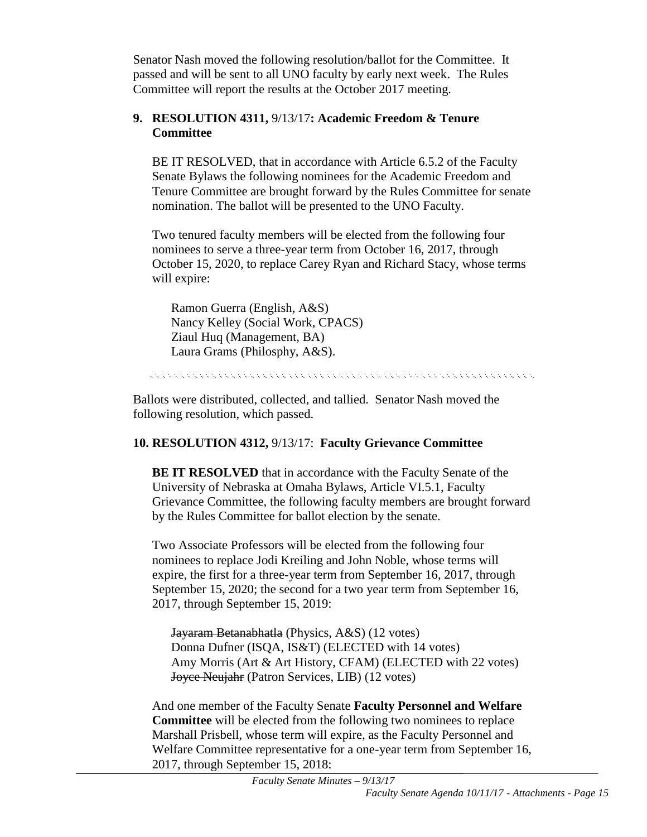Senator Nash moved the following resolution/ballot for the Committee. It passed and will be sent to all UNO faculty by early next week. The Rules Committee will report the results at the October 2017 meeting.

# **9. RESOLUTION 4311,** 9/13/17**: Academic Freedom & Tenure Committee**

BE IT RESOLVED, that in accordance with Article 6.5.2 of the Faculty Senate Bylaws the following nominees for the Academic Freedom and Tenure Committee are brought forward by the Rules Committee for senate nomination. The ballot will be presented to the UNO Faculty.

Two tenured faculty members will be elected from the following four nominees to serve a three-year term from October 16, 2017, through October 15, 2020, to replace Carey Ryan and Richard Stacy, whose terms will expire:

Ramon Guerra (English, A&S) Nancy Kelley (Social Work, CPACS) Ziaul Huq (Management, BA) Laura Grams (Philosphy, A&S).

.<br>Kata tanah kata tanah kata tanah kata tanah kata ta

Ballots were distributed, collected, and tallied. Senator Nash moved the following resolution, which passed.

# **10. RESOLUTION 4312,** 9/13/17: **Faculty Grievance Committee**

**BE IT RESOLVED** that in accordance with the Faculty Senate of the University of Nebraska at Omaha Bylaws, Article VI.5.1, Faculty Grievance Committee, the following faculty members are brought forward by the Rules Committee for ballot election by the senate.

Two Associate Professors will be elected from the following four nominees to replace Jodi Kreiling and John Noble, whose terms will expire, the first for a three-year term from September 16, 2017, through September 15, 2020; the second for a two year term from September 16, 2017, through September 15, 2019:

Jayaram Betanabhatla (Physics, A&S) (12 votes) Donna Dufner (ISQA, IS&T) (ELECTED with 14 votes) Amy Morris (Art & Art History, CFAM) (ELECTED with 22 votes) Joyce Neujahr (Patron Services, LIB) (12 votes)

And one member of the Faculty Senate **Faculty Personnel and Welfare Committee** will be elected from the following two nominees to replace Marshall Prisbell, whose term will expire, as the Faculty Personnel and Welfare Committee representative for a one-year term from September 16, 2017, through September 15, 2018: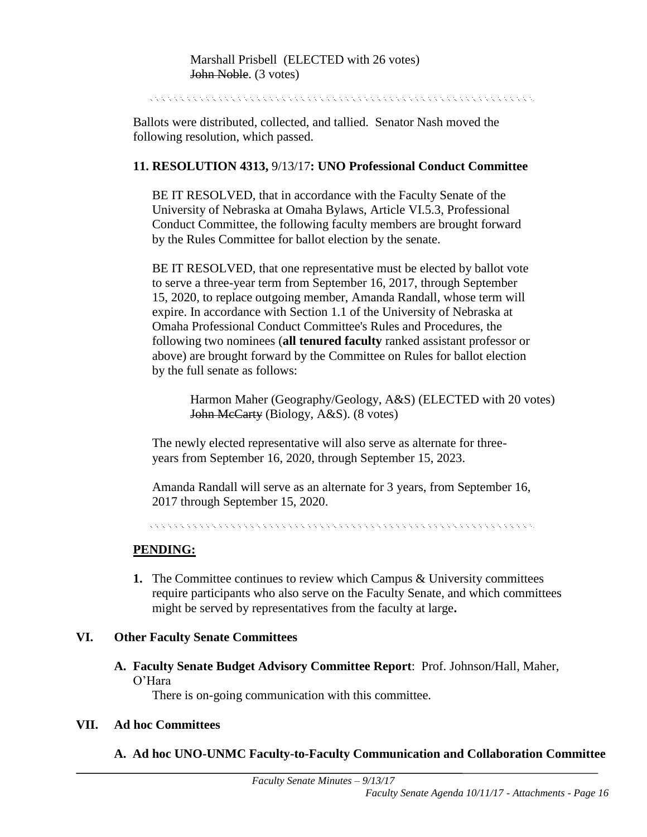Ballots were distributed, collected, and tallied. Senator Nash moved the following resolution, which passed.

#### **11. RESOLUTION 4313,** 9/13/17**: UNO Professional Conduct Committee**

BE IT RESOLVED, that in accordance with the Faculty Senate of the University of Nebraska at Omaha Bylaws, Article VI.5.3, Professional Conduct Committee, the following faculty members are brought forward by the Rules Committee for ballot election by the senate.

BE IT RESOLVED, that one representative must be elected by ballot vote to serve a three-year term from September 16, 2017, through September 15, 2020, to replace outgoing member, Amanda Randall, whose term will expire. In accordance with Section 1.1 of the University of Nebraska at Omaha Professional Conduct Committee's Rules and Procedures, the following two nominees (**all tenured faculty** ranked assistant professor or above) are brought forward by the Committee on Rules for ballot election by the full senate as follows:

Harmon Maher (Geography/Geology, A&S) (ELECTED with 20 votes) John McCarty (Biology, A&S). (8 votes)

The newly elected representative will also serve as alternate for threeyears from September 16, 2020, through September 15, 2023.

Amanda Randall will serve as an alternate for 3 years, from September 16, 2017 through September 15, 2020.

.<br>El estado estado estado estado estado estado estado estado estado estado estado estado estado estado estado e

#### **PENDING:**

**1.** The Committee continues to review which Campus & University committees require participants who also serve on the Faculty Senate, and which committees might be served by representatives from the faculty at large**.** 

#### **VI. Other Faculty Senate Committees**

**A. Faculty Senate Budget Advisory Committee Report**: Prof. Johnson/Hall, Maher, O'Hara

There is on-going communication with this committee.

#### **VII. Ad hoc Committees**

#### **A. Ad hoc UNO-UNMC Faculty-to-Faculty Communication and Collaboration Committee**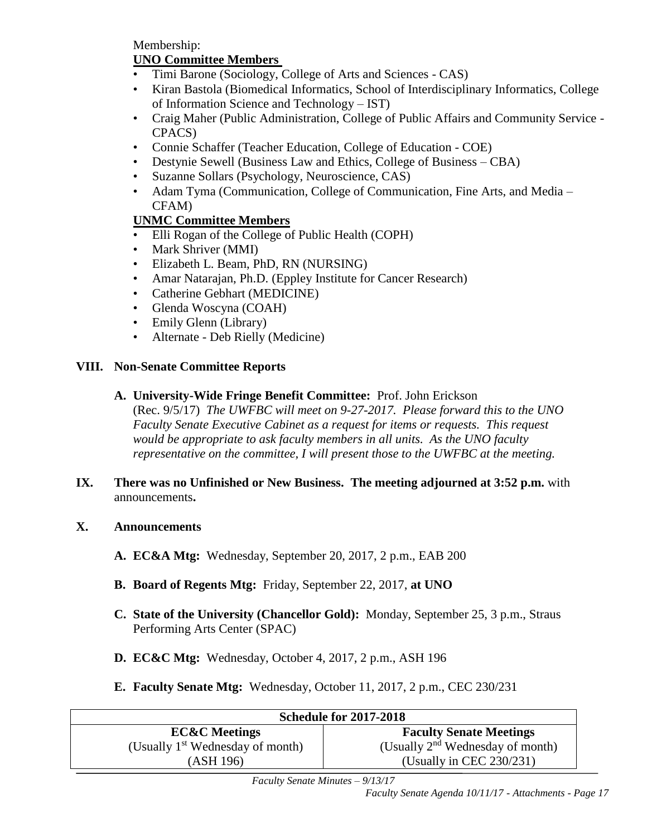Membership:

# **UNO Committee Members**

- Timi Barone (Sociology, College of Arts and Sciences CAS)
- Kiran Bastola (Biomedical Informatics, School of Interdisciplinary Informatics, College of Information Science and Technology – IST)
- Craig Maher (Public Administration, College of Public Affairs and Community Service CPACS)
- Connie Schaffer (Teacher Education, College of Education COE)
- Destynie Sewell (Business Law and Ethics, College of Business CBA)
- Suzanne Sollars (Psychology, Neuroscience, CAS)
- Adam Tyma (Communication, College of Communication, Fine Arts, and Media CFAM)

# **UNMC Committee Members**

- Elli Rogan of the College of Public Health (COPH)
- Mark Shriver (MMI)
- Elizabeth L. Beam, PhD, RN (NURSING)
- Amar Natarajan, Ph.D. (Eppley Institute for Cancer Research)
- Catherine Gebhart (MEDICINE)
- Glenda Woscyna (COAH)
- Emily Glenn (Library)
- Alternate Deb Rielly (Medicine)

## **VIII. Non-Senate Committee Reports**

**A. University-Wide Fringe Benefit Committee:** Prof. John Erickson

(Rec. 9/5/17) *The UWFBC will meet on 9-27-2017. Please forward this to the UNO Faculty Senate Executive Cabinet as a request for items or requests. This request would be appropriate to ask faculty members in all units. As the UNO faculty representative on the committee, I will present those to the UWFBC at the meeting.* 

- **IX. There was no Unfinished or New Business. The meeting adjourned at 3:52 p.m.** with announcements**.**
- **X. Announcements**
	- **A. EC&A Mtg:** Wednesday, September 20, 2017, 2 p.m., EAB 200
	- **B. Board of Regents Mtg:** Friday, September 22, 2017, **at UNO**
	- **C. State of the University (Chancellor Gold):** Monday, September 25, 3 p.m., Straus Performing Arts Center (SPAC)
	- **D. EC&C Mtg:** Wednesday, October 4, 2017, 2 p.m., ASH 196
	- **E. Faculty Senate Mtg:** Wednesday, October 11, 2017, 2 p.m., CEC 230/231

| <b>Schedule for 2017-2018</b>      |                                    |  |  |  |
|------------------------------------|------------------------------------|--|--|--|
| <b>EC&amp;C</b> Meetings           | <b>Faculty Senate Meetings</b>     |  |  |  |
| (Usually $1st$ Wednesday of month) | (Usually $2nd$ Wednesday of month) |  |  |  |
| (ASH 196)                          | (Usually in CEC 230/231)           |  |  |  |